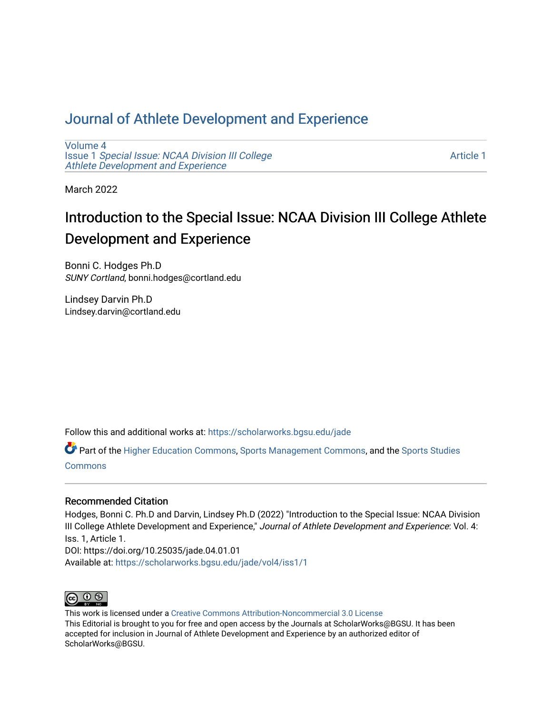## [Journal of Athlete Development and Experience](https://scholarworks.bgsu.edu/jade)

[Volume 4](https://scholarworks.bgsu.edu/jade/vol4) Issue 1 [Special Issue: NCAA Division III College](https://scholarworks.bgsu.edu/jade/vol4/iss1) [Athlete Development and Experience](https://scholarworks.bgsu.edu/jade/vol4/iss1) 

[Article 1](https://scholarworks.bgsu.edu/jade/vol4/iss1/1) 

March 2022

# Introduction to the Special Issue: NCAA Division III College Athlete Development and Experience

Bonni C. Hodges Ph.D SUNY Cortland, bonni.hodges@cortland.edu

Lindsey Darvin Ph.D Lindsey.darvin@cortland.edu

Follow this and additional works at: [https://scholarworks.bgsu.edu/jade](https://scholarworks.bgsu.edu/jade?utm_source=scholarworks.bgsu.edu%2Fjade%2Fvol4%2Fiss1%2F1&utm_medium=PDF&utm_campaign=PDFCoverPages) 

Part of the [Higher Education Commons,](http://network.bepress.com/hgg/discipline/1245?utm_source=scholarworks.bgsu.edu%2Fjade%2Fvol4%2Fiss1%2F1&utm_medium=PDF&utm_campaign=PDFCoverPages) [Sports Management Commons,](http://network.bepress.com/hgg/discipline/1193?utm_source=scholarworks.bgsu.edu%2Fjade%2Fvol4%2Fiss1%2F1&utm_medium=PDF&utm_campaign=PDFCoverPages) and the [Sports Studies](http://network.bepress.com/hgg/discipline/1198?utm_source=scholarworks.bgsu.edu%2Fjade%2Fvol4%2Fiss1%2F1&utm_medium=PDF&utm_campaign=PDFCoverPages)  [Commons](http://network.bepress.com/hgg/discipline/1198?utm_source=scholarworks.bgsu.edu%2Fjade%2Fvol4%2Fiss1%2F1&utm_medium=PDF&utm_campaign=PDFCoverPages)

#### Recommended Citation

Hodges, Bonni C. Ph.D and Darvin, Lindsey Ph.D (2022) "Introduction to the Special Issue: NCAA Division III College Athlete Development and Experience," Journal of Athlete Development and Experience: Vol. 4: Iss. 1, Article 1. DOI: https://doi.org/10.25035/jade.04.01.01 Available at: [https://scholarworks.bgsu.edu/jade/vol4/iss1/1](https://scholarworks.bgsu.edu/jade/vol4/iss1/1?utm_source=scholarworks.bgsu.edu%2Fjade%2Fvol4%2Fiss1%2F1&utm_medium=PDF&utm_campaign=PDFCoverPages) 



This work is licensed under a [Creative Commons Attribution-Noncommercial 3.0 License](https://creativecommons.org/licenses/by-nc/3.0/)  This Editorial is brought to you for free and open access by the Journals at ScholarWorks@BGSU. It has been accepted for inclusion in Journal of Athlete Development and Experience by an authorized editor of ScholarWorks@BGSU.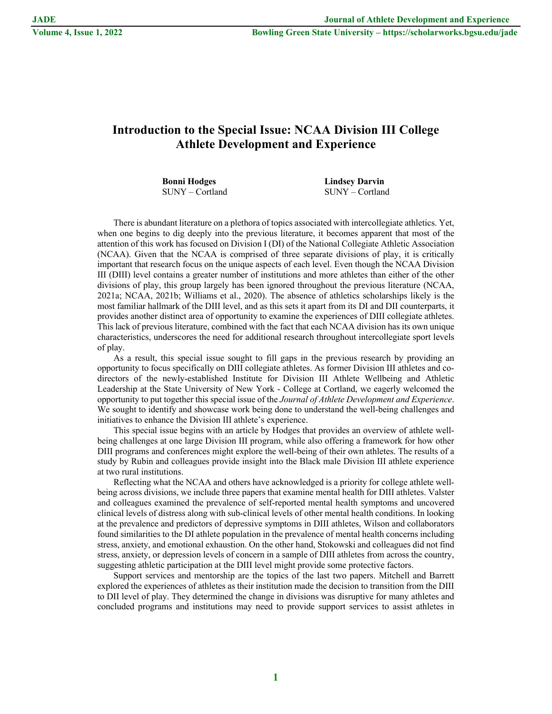### **Introduction to the Special Issue: NCAA Division III College Athlete Development and Experience**

**Bonni Hodges** Lindsey Darvin SUNY – Cortland SUNY – Cortland

There is abundant literature on a plethora of topics associated with intercollegiate athletics. Yet, when one begins to dig deeply into the previous literature, it becomes apparent that most of the attention of this work has focused on Division I (DI) of the National Collegiate Athletic Association (NCAA). Given that the NCAA is comprised of three separate divisions of play, it is critically important that research focus on the unique aspects of each level. Even though the NCAA Division III (DIII) level contains a greater number of institutions and more athletes than either of the other divisions of play, this group largely has been ignored throughout the previous literature (NCAA, 2021a; NCAA, 2021b; Williams et al., 2020). The absence of athletics scholarships likely is the most familiar hallmark of the DIII level, and as this sets it apart from its DI and DII counterparts, it provides another distinct area of opportunity to examine the experiences of DIII collegiate athletes. This lack of previous literature, combined with the fact that each NCAA division has its own unique characteristics, underscores the need for additional research throughout intercollegiate sport levels of play.

As a result, this special issue sought to fill gaps in the previous research by providing an opportunity to focus specifically on DIII collegiate athletes. As former Division III athletes and codirectors of the newly-established Institute for Division III Athlete Wellbeing and Athletic Leadership at the State University of New York - College at Cortland, we eagerly welcomed the opportunity to put together this special issue of the *Journal of Athlete Development and Experience*. We sought to identify and showcase work being done to understand the well-being challenges and initiatives to enhance the Division III athlete's experience.

This special issue begins with an article by Hodges that provides an overview of athlete wellbeing challenges at one large Division III program, while also offering a framework for how other DIII programs and conferences might explore the well-being of their own athletes. The results of a study by Rubin and colleagues provide insight into the Black male Division III athlete experience at two rural institutions.

Reflecting what the NCAA and others have acknowledged is a priority for college athlete wellbeing across divisions, we include three papers that examine mental health for DIII athletes. Valster and colleagues examined the prevalence of self-reported mental health symptoms and uncovered clinical levels of distress along with sub-clinical levels of other mental health conditions. In looking at the prevalence and predictors of depressive symptoms in DIII athletes, Wilson and collaborators found similarities to the DI athlete population in the prevalence of mental health concerns including stress, anxiety, and emotional exhaustion. On the other hand, Stokowski and colleagues did not find stress, anxiety, or depression levels of concern in a sample of DIII athletes from across the country, suggesting athletic participation at the DIII level might provide some protective factors.

Support services and mentorship are the topics of the last two papers. Mitchell and Barrett explored the experiences of athletes as their institution made the decision to transition from the DIII to DII level of play. They determined the change in divisions was disruptive for many athletes and concluded programs and institutions may need to provide support services to assist athletes in